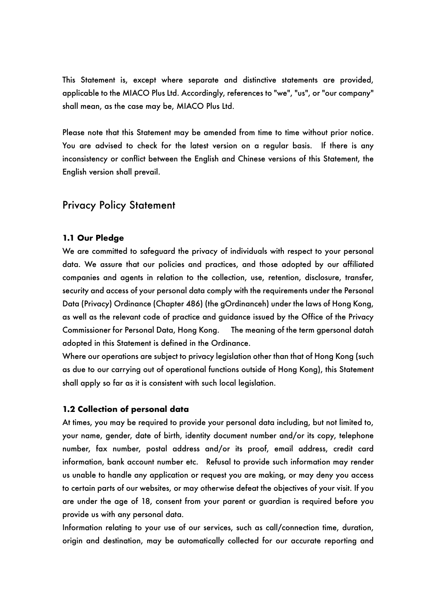This Statement is, except where separate and distinctive statements are provided, applicable to the MIACO Plus Ltd. Accordingly, references to "we", "us", or "our company" shall mean, as the case may be, MIACO Plus Ltd.

Please note that this Statement may be amended from time to time without prior notice. You are advised to check for the latest version on a regular basis. If there is any inconsistency or conflict between the English and Chinese versions of this Statement, the English version shall prevail.

# Privacy Policy Statement

#### **1.1 Our Pledge**

We are committed to safeguard the privacy of individuals with respect to your personal data. We assure that our policies and practices, and those adopted by our affiliated companies and agents in relation to the collection, use, retention, disclosure, transfer, security and access of your personal data comply with the requirements under the Personal Data (Privacy) Ordinance (Chapter 486) (the gOrdinanceh) under the laws of Hong Kong, as well as the relevant code of practice and guidance issued by the Office of the Privacy Commissioner for Personal Data, Hong Kong. The meaning of the term gpersonal datah adopted in this Statement is defined in the Ordinance.

Where our operations are subject to privacy legislation other than that of Hong Kong (such as due to our carrying out of operational functions outside of Hong Kong), this Statement shall apply so far as it is consistent with such local legislation.

#### **1.2 Collection of personal data**

At times, you may be required to provide your personal data including, but not limited to, your name, gender, date of birth, identity document number and/or its copy, telephone number, fax number, postal address and/or its proof, email address, credit card information, bank account number etc. Refusal to provide such information may render us unable to handle any application or request you are making, or may deny you access to certain parts of our websites, or may otherwise defeat the objectives of your visit. If you are under the age of 18, consent from your parent or guardian is required before you provide us with any personal data.

Information relating to your use of our services, such as call/connection time, duration, origin and destination, may be automatically collected for our accurate reporting and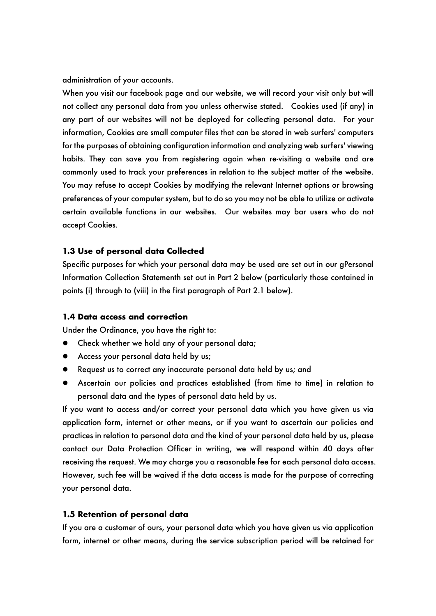administration of your accounts.

When you visit our facebook page and our website, we will record your visit only but will not collect any personal data from you unless otherwise stated. Cookies used (if any) in any part of our websites will not be deployed for collecting personal data. For your information, Cookies are small computer files that can be stored in web surfers' computers for the purposes of obtaining configuration information and analyzing web surfers' viewing habits. They can save you from registering again when re-visiting a website and are commonly used to track your preferences in relation to the subject matter of the website. You may refuse to accept Cookies by modifying the relevant Internet options or browsing preferences of your computer system, but to do so you may not be able to utilize or activate certain available functions in our websites. Our websites may bar users who do not accept Cookies.

### **1.3 Use of personal data Collected**

Specific purposes for which your personal data may be used are set out in our gPersonal Information Collection Statementh set out in Part 2 below (particularly those contained in points (i) through to (viii) in the first paragraph of Part 2.1 below).

### **1.4 Data access and correction**

Under the Ordinance, you have the right to:

- Check whether we hold any of your personal data;
- Access your personal data held by us;
- Request us to correct any inaccurate personal data held by us; and
- **•** Ascertain our policies and practices established (from time to time) in relation to personal data and the types of personal data held by us.

If you want to access and/or correct your personal data which you have given us via application form, internet or other means, or if you want to ascertain our policies and practices in relation to personal data and the kind of your personal data held by us, please contact our Data Protection Officer in writing, we will respond within 40 days after receiving the request. We may charge you a reasonable fee for each personal data access. However, such fee will be waived if the data access is made for the purpose of correcting your personal data.

### **1.5 Retention of personal data**

If you are a customer of ours, your personal data which you have given us via application form, internet or other means, during the service subscription period will be retained for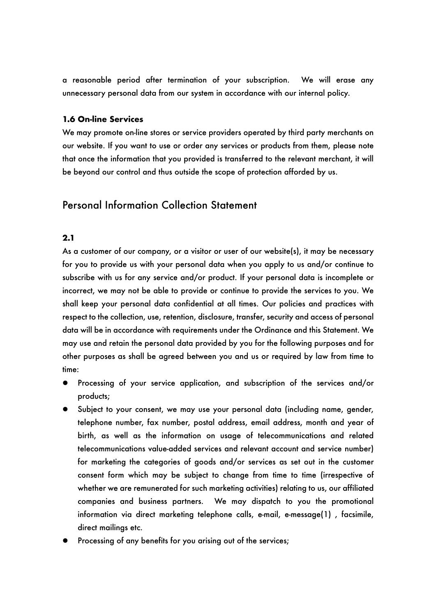a reasonable period after termination of your subscription. We will erase any unnecessary personal data from our system in accordance with our internal policy.

## **1.6 On-line Services**

We may promote on-line stores or service providers operated by third party merchants on our website. If you want to use or order any services or products from them, please note that once the information that you provided is transferred to the relevant merchant, it will be beyond our control and thus outside the scope of protection afforded by us.

# Personal Information Collection Statement

## **2.1**

As a customer of our company, or a visitor or user of our website(s), it may be necessary for you to provide us with your personal data when you apply to us and/or continue to subscribe with us for any service and/or product. If your personal data is incomplete or incorrect, we may not be able to provide or continue to provide the services to you. We shall keep your personal data confidential at all times. Our policies and practices with respect to the collection, use, retention, disclosure, transfer, security and access of personal data will be in accordance with requirements under the Ordinance and this Statement. We may use and retain the personal data provided by you for the following purposes and for other purposes as shall be agreed between you and us or required by law from time to time:

- Processing of your service application, and subscription of the services and/or products;
- Subject to your consent, we may use your personal data (including name, gender, telephone number, fax number, postal address, email address, month and year of birth, as well as the information on usage of telecommunications and related telecommunications value-added services and relevant account and service number) for marketing the categories of goods and/or services as set out in the customer consent form which may be subject to change from time to time (irrespective of whether we are remunerated for such marketing activities) relating to us, our affiliated companies and business partners. We may dispatch to you the promotional information via direct marketing telephone calls, e-mail, e-message(1) , facsimile, direct mailings etc.
- Processing of any benefits for you arising out of the services;